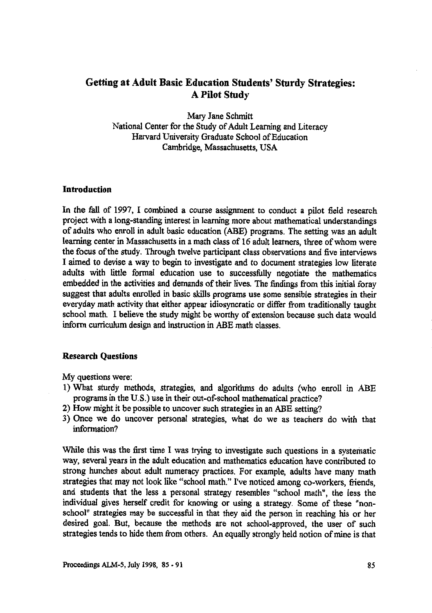# **Getting at Adult Basic Education Students' Sturdy Strategies: A Pilot Study**

Mary Jane Schmitt National Center for the Study of Adult Learning and Literacy Harvard University Graduate School of Education Cambridge, Massachusetts, USA

### **Introduction**

**In the** fall of 1997, I combined a course assignment to conduct a pilot field research project with a long-standing interest in learning more about mathematical understandings of adults who enroll in adult basic education (ABE) programs. The setting was an adult learning center in Massachusetts in a math class of 16 adult learners, three of whom were the focus of the study. Through twelve participant class observations and five interviews I aimed to devise a way to begin to investigate and to document strategies low literate adults with little formal education use to successfully negotiate the mathematics embedded in the activities and demands of their lives. The findings from this initial foray suggest that adults enrolled in basic skills programs use some sensible strategies in their everyday math activity that either appear idiosyncratic or differ from traditionally taught school math. I believe the study might be worthy of extension because such data would inform curriculum design and instruction in ABE math classes.

### **Research Questions**

My questions were:

- 1) What sturdy methods, strategies, and algorithms do adults (who enroll in ABE programs in the U.S.) use in their out-of-school mathematical practice?
- 2) How might it be possible to uncover such strategies in an ABE setting?
- 3) Once we do uncover personal strategies, what do we as teachers do with that information?

While this was the first time I was trying to investigate such questions in a systematic way, several years in the adult education and mathematics education have contributed to strong hunches about adult numeracy practices. For example, adults have many math strategies that may not look like "school math." I've noticed among co-workers, friends, and students that the less a personal strategy resembles "school math", the less the individual gives herself credit for knowing or using a strategy. Some of these "nonschool" strategies may be successful in that they aid the person in reaching his or her desired goal. But, because the methods are not school-approved, the user of such strategies tends to hide them from others. An equally strongly held notion of mine is that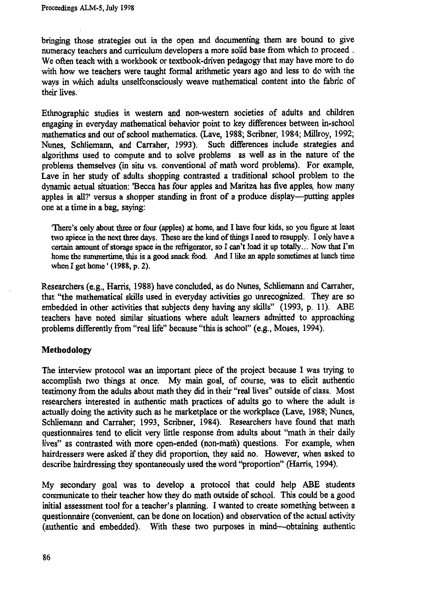**bringing those strategies out in the open and documenting them are bound to give numeracy teachers and curriculum developers a more solid base from which to proceed . We often teach with a workbook or textbook-driven pedagogy that may have more to do with how we teachers were taught formal arithmetic years ago and less to do with the ways in which adults unselfconsciously weave mathematical content into the fabric of their lives.**

**Ethnographic studies in western and non-western societies of adults and children engaging in everyday mathematical behavior point to key differences between in-school mathematics and out of school mathematics. (Lave, 1988; Scribner, 1984; Millroy, 1992; Nunes, Schliemann, and Carraher, 1993). Such differences include strategies and algorithms used to compute and to solve problems as well as in the nature of the problems themselves (in situ vs. conventional of math word problems). For example, Lave in her study of adults shopping contrasted a traditional school problem to the dynamic actual situation: Becca has four apples and Maritza has five apples, how many apples in all?' versus a shopper standing in front of a produce display—putting apples one at a time in a bag, saying:**

'There's only about three or four (apples) at home, and I have four kids, so you figure at least two apiece in the next three days. These are the kind of things I need to resupply. I only have a certain amount of storage space in the refrigerator, so I can't load it up totally... Now that I'm home the summertime, this is a good snack food. And I like an apple sometimes at lunch time when I get home' (1988, p. 2).

**Researchers (e.g., Harris, 1988) have concluded, as do Nunes, Schliemann and Carraher, that "the mathematical skills used in everyday activities go unrecognized. They are so embedded in other activities that subjects deny having any skills" (1993, p. 11). ABE teachers have noted similar situations where adult learners admitted to approaching problems differently from "real life" because "this is school" (e.g., Moses, 1994).**

## **Methodology**

**The interview protocol was an important piece of the project because I was trying to accomplish two things at once. My main goal, of course, was to elicit authentic testimony from the adults about math they did in their "real lives" outside of class. Most researchers interested in authentic math practices of adults go to where the adult is actually doing the activity such as he marketplace or the workplace (Lave, 1988; Nunes, Schliemann and Carraher; 1993, Scribner, 1984). Researchers have found that math questionnaires tend to elicit very little response from adults about "math in their daily lives" as contrasted with more open-ended (non-math) questions. For example, when hairdressers were asked if they did proportion, they said no. However, when asked to describe hairdressing they spontaneously used the word "proportion" (Harris, 1994).**

**My secondary goal was to develop a protocol that could help ABE students communicate to their teacher how they do math outside of school. This could be a good initial assessment tool for a teacher's planning. I wanted to create something between a questionnaire (convenient, can be done on location) and observation of the actual activity (authentic and embedded). With these two purposes in mind—obtaining authentic**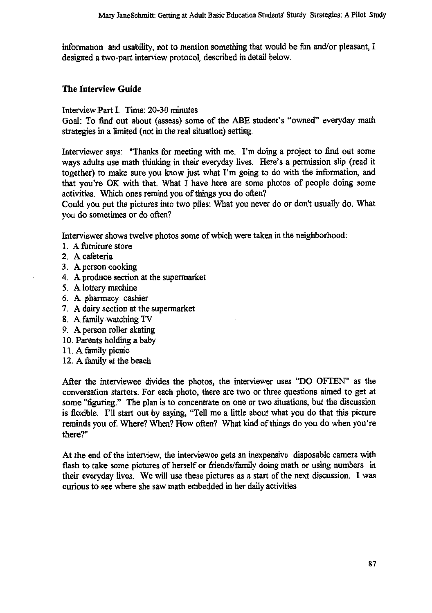information and usability, not to mention something that would be fun and/or pleasant, I designed a two-part interview protocol, described in detail below.

# **The Interview Guide**

Interview Part I. Time: 20-30 minutes

Goal: To find out about (assess) some of the ABE student's "owned" everyday math strategies in a limited (not in the real situation) setting.

Interviewer says: "Thanks for meeting with me. I'm doing a project to find out some ways adults use math thinking in their everyday lives. Here's a permission slip (read it together) to make sure you know just what I'm going to do with the information, and that you're OK with that. What I have here are some photos of people doing some activities. Which ones remind you of things you do often?

Could you put the pictures into two piles: What you never do or don't usually do. What you do sometimes or do often?

Interviewer shows twelve photos some of which were taken in the neighborhood:

- **1. A** furniture store
- 2. A cafeteria
- 3. A person cooking
- 4. A produce section at the supermarket
- 5. A lottery machine
- 6. A pharmacy cashier
- 7. A dairy section at the supermarket
- 8. A family watching TV
- 9. A person roller skating
- 10.Parents holding a baby
- 11.A family picnic
- 12.A family at the beach

After the interviewee divides the photos, the interviewer uses "DO OFTEN" as the conversation starters. For each photo, there are two or three questions aimed to get at some "figuring." The plan is to concentrate on one or two situations, but the discussion is flexible. I'll start out by saying, "Tell me a little about what you do that this picture reminds you of. Where? When? How often? What kind of things do you do when you're there?"

At the end of the interview, the interviewee gets an inexpensive disposable camera with flash to take some pictures of herself or friends/family doing math or using numbers in their everyday lives. We will use these pictures as a start of the next discussion. I was curious to see where she saw math embedded in her daily activities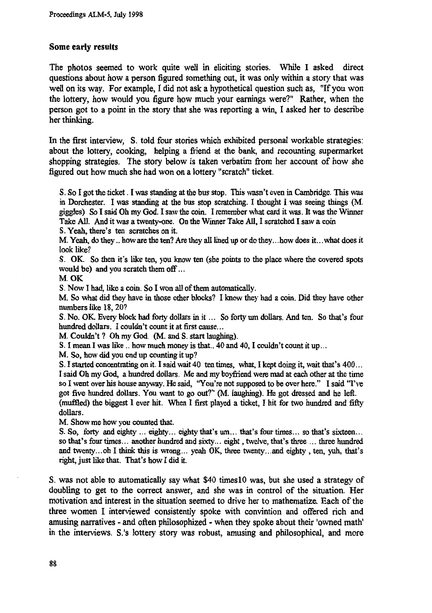### **Some early results**

**The photos seemed to work quite well in eliciting stories. While I asked direct questions about how a person figured something out, it was only within a story that was well on its way. For example, I did not ask a hypothetical question such as, "If you won the lottery, how would you figure how much your earnings were?" Rather, when the person got to a point in the story that she was reporting a win, I asked her to describe her thinking.**

**In the first interview, S. told four stories which exhibited personal workable strategies: about the lottery, cooking, helping a friend at the bank, and recounting supermarket shopping strategies. The story below is taken verbatim from her account of how she figured out how much she had won on a lottery "scratch" ticket.**

**S. So 1 got the ticket . I was standing at the bus stop. This wasn't even in Cambridge. This was in Dorchester. I was standing at the bus stop scratching. I thought I was seeing things (M. giggles) So I said Oh my God. I saw the coin. I remember what card it was. It was the Winner Take All. And it was a twenty-one. On the Winner Take All, I scratched I saw a coin**

**S. Yeah, there's ten scratches on it.**

**M. Yeah, do they .. how are the ten? Are they all lined up or do they...how does it... what does it look like?**

**S. OK. So then it's like ten, you know ten (she points to the place where the covered spots would be) and you scratch them off ...**

**M. OK**

**S. Now I had, like a coin. So I won all of them automatically.**

**M. So what did they have in those other blocks? I know they had a coin. Did they have other numbers like 18, 20?**

**S. No. OK. Every block had forty dollars in it ... So forty urn dollars. And ten. So that's four hundred dollars. I couldn't count it at first cause...**

**M. Couldn't ? Oh my God. (M. and S. start laughing)**

**S. I mean I was like .. how much money is that.. 40 and 40, I couldn't count it up...**

**M. So, how did you end up counting it up?**

**S. I started concentrating on it. I said wait 40 ten times, what, I kept doing it, wait that's 400... I said Oh my God, a hundred dollars. Me and my boyfriend were mad at each other at the time so I went over his house anyway. He said, "You're not supposed to be over here." I said "I've got five hundred dollars. You want to go out?" (M. laughing). He got dressed and he left. (muffled) the biggest I ever hit. When I first played a ticket, I hit for two hundred and fifty dollars.**

**M. Show me how you counted that.**

**S. So, forty and eighty ... eighty... eighty that's um... that's four times... so that's sixteen... so that's four times... another hundred and sixty... eight , twelve, that's three ... three hundred and twenty... oh I think this is wrong... yeah OK, three twenty... and eighty , ten, yuh, that's right, just like that. That's how I did it.**

**S. was not able to automatically say what \$40 times10 was, but she used a strategy of doubling to get to the correct answer, and she was in control of the situation. Her motivation and interest in the situation seemed to drive her to mathematize. Each of the three women I interviewed consistently spoke with convintion and offered rich and amusing narratives - and often philosophized - when they spoke about their 'owned math' in the interviews. S.'s lottery story was robust, amusing and philosophical, and more**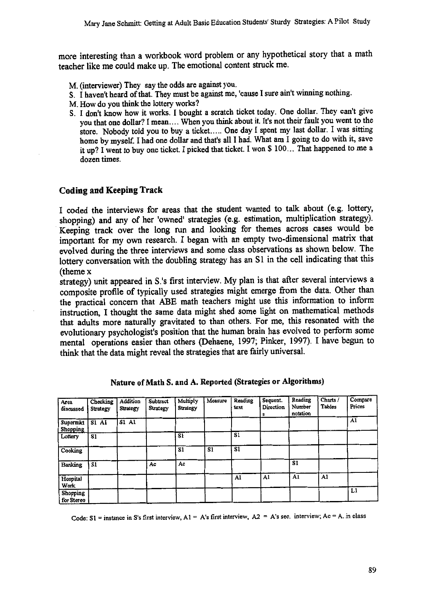**more interesting than a workbook word problem or any hypothetical story that a math teacher like me could make up. The emotional content struck me.**

- M. (interviewer) They say the odds are against you.
- S. I haven't heard of that. They must be against me, 'cause I sure ain't winning nothing.
- M. How do you think the lottery works?
- S. I don't know how it works. I bought a scratch ticket today. One dollar. They can't give you that one dollar? I mean.... When you think about it. It's not their fault you went to the store. Nobody told you to buy a ticket..... One day I spent my last dollar. I was sitting home by myself. I had one dollar and that's all I had. What am I going to do with it, save it up? I went to buy one ticket. I picked that ticket. I won \$ 100... That happened to me a dozen times.

### **Coding and Keeping Track**

**I coded the interviews for areas that the student wanted to talk about (e.g. lottery, shopping) and any of her 'owned' strategies (e.g. estimation, multiplication strategy). Keeping track over the long run and looking for themes across cases would be important for my own research. I began with an empty two-dimensional matrix that evolved during the three interviews and some class observations as shown below. The lottery conversation with the doubling strategy has an S1 in the cell indicating that this (theme x**

**strategy) unit appeared in S.'s first interview. My plan is that after several interviews a composite profile of typically used strategies might emerge from the data. Other than the practical concern that ABE math teachers might use this information to inform instruction, I thought the same data might shed some light on mathematical methods that adults more naturally gravitated to than others. For me, this resonated with the evolutionary psychologist's position that the human brain has evolved to perform some mental operations easier than others (Dehaene, 1997; Pinker, 1997). I have begun to think that the data might reveal the strategies that are fairly universal.**

| Area<br>discussed       | Checking<br>Strategy | Addition<br>Strategy | Subtract<br>Strategy | Multiply<br>Strategy | Measure | Reading<br>text | Sequent.<br>Direction<br>S | Reading<br>Number<br>notation | Charts /<br>Tables | Compare<br>Prices |
|-------------------------|----------------------|----------------------|----------------------|----------------------|---------|-----------------|----------------------------|-------------------------------|--------------------|-------------------|
| Supermkt<br>Shopping    | $SI$ Al              | <b>S1 A1</b>         |                      |                      |         |                 |                            |                               |                    | A1                |
| Lottery                 | S1                   |                      |                      | S1                   |         | S1              |                            |                               |                    |                   |
| Cooking                 |                      |                      |                      | S1                   | S1      | S1              |                            |                               |                    |                   |
| Banking                 | S1                   |                      | Ac                   | Ac                   |         |                 |                            | S1                            |                    |                   |
| Hospital<br><b>Work</b> |                      |                      |                      |                      |         | A1              | A1                         | A1                            | A1                 |                   |
| Shopping<br>for Stereo  |                      |                      |                      |                      |         |                 |                            |                               |                    | Ll                |

Nature **of Math** S. and A. *Reported* **(Strategies or** Algorithms)

Code:  $SI$  = instance in S's first interview,  $AI$  =  $A$ 's first interview,  $A2$  =  $A$ 's sec. interview;  $Ac$  =  $A$ . in class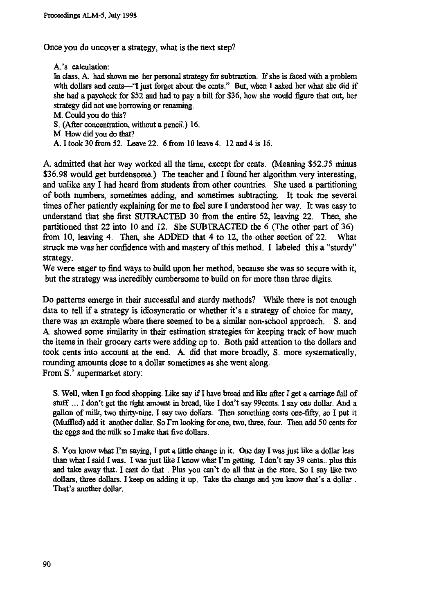**Once you do uncover a strategy, what is the next step?**

**A.'s calculation: In class, A. had shown me her personal strategy for subtraction. If she is faced with a problem with dollars and cents—"I just forget about the cents." But, when I asked her what she did if she had a paycheck for \$52 and had to pay a bill for \$36, how she would figure that out, her strategy did not use borrowing or renaming. M. Could you do this? S. (After concentration, without a pencil.) 16.**

**M. How did you do that?**

**A. I took 30 from 52. Leave 22. 6 from 10 leave 4. 12 and 4 is 16.**

**A. admitted that her way worked all the time, except for cents. (Meaning \$52.35 minus \$36.98 would get burdensome.) The teacher and I found her algorithm very interesting, and unlike any I had heard from students from other countries. She used a partitioning of both numbers, sometimes adding, and sometimes subtracting. It took me several times of her patiently explaining for me to feel sure I understood her way. It was easy to understand that she first SUTRACTED 30 from the entire 52, leaving 22. Then, she partitioned that 22 into 10 and 12. She SUBTRACTED the 6 (The other part of 36) from 10, leaving 4. Then, she ADDED that 4 to 12, the other section of 22. What struck me was her confidence with and mastery of this method. I labeled this a "sturdy" strategy.**

**We were eager to find ways to build upon her method, because she was so secure with it, but the strategy was incredibly cumbersome to build on for more than three digits.**

**Do patterns emerge in their successful and sturdy methods? While there is not enough data to tell if a strategy is idiosyncratic or whether it's a strategy of choice for many, there was an example where there seemed to be a similar non-school approach. S. and A. showed some similarity in their estimation strategies for keeping track of how much the items in their grocery carts were adding up to. Both paid attention to the dollars and took cents into account at the end. A. did that more broadly, S. more systematically, rounding amounts close to a dollar sometimes as she went along. From S.' supermarket story:**

**S. Well, when I go food shopping. Like say if I have bread and like after I get a carriage full of stuff ... I don't get the right amount in bread, like I don't say 99cents. I say one dollar. And a gallon of milk, two thirty-nine. I say two dollars. Then something costs one-fifty, so I put it** (Muffled) add it another dollar. So I'm looking for one, two, three, four. Then add 50 cents for **the eggs and the milk so I make that five dollars.**

**S. You know what I'm saying, I put a little change in it. One day I was just like a dollar less than what I said I was. I was just like I know what I'm getting. I don't say 39 cents.. plus this and take away that. I cant do that . Plus you can't do all that in the store. So I say like two dollars, three dollars. I keep on adding it up. Take the change and you know that's a dollar . That's another dollar.**